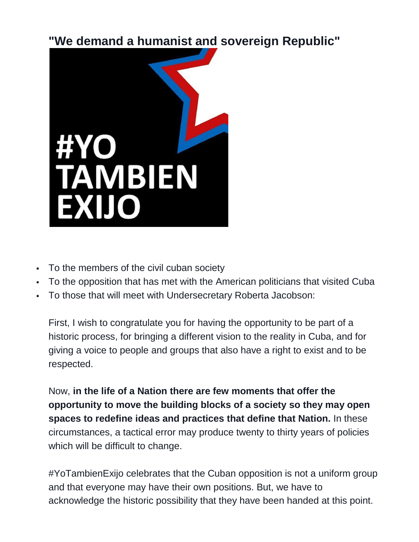**"We demand a humanist and sovereign Republic"**



- To the members of the civil cuban society
- To the opposition that has met with the American politicians that visited Cuba
- To those that will meet with Undersecretary Roberta Jacobson:

First, I wish to congratulate you for having the opportunity to be part of a historic process, for bringing a different vision to the reality in Cuba, and for giving a voice to people and groups that also have a right to exist and to be respected.

Now, **in the life of a Nation there are few moments that offer the opportunity to move the building blocks of a society so they may open spaces to redefine ideas and practices that define that Nation.** In these circumstances, a tactical error may produce twenty to thirty years of policies which will be difficult to change.

#YoTambienExijo celebrates that the Cuban opposition is not a uniform group and that everyone may have their own positions. But, we have to acknowledge the historic possibility that they have been handed at this point.